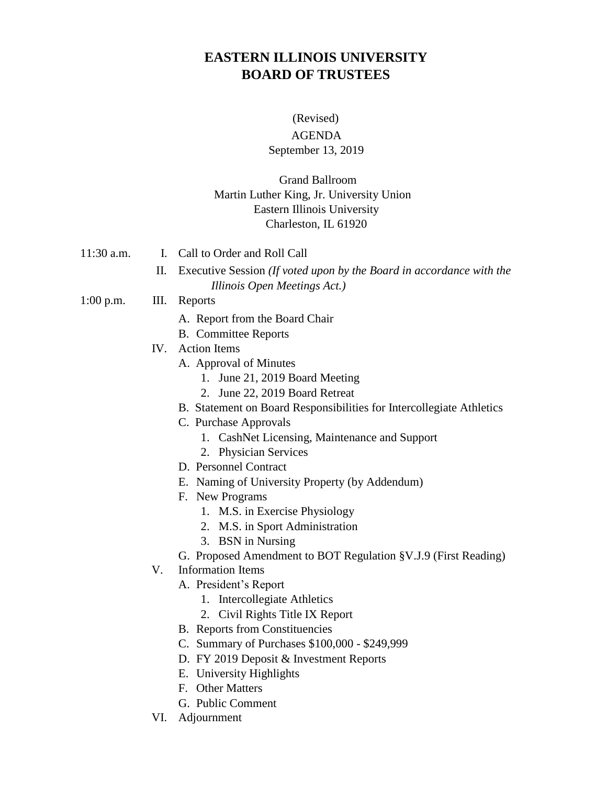# **EASTERN ILLINOIS UNIVERSITY BOARD OF TRUSTEES**

#### (Revised)

### AGENDA

### September 13, 2019

## Grand Ballroom Martin Luther King, Jr. University Union Eastern Illinois University Charleston, IL 61920

- 11:30 a.m. I. Call to Order and Roll Call
	- II. Executive Session *(If voted upon by the Board in accordance with the Illinois Open Meetings Act.)*

#### 1:00 p.m. III. Reports

- A. Report from the Board Chair
- B. Committee Reports
- IV. Action Items
	- A. Approval of Minutes
		- 1. June 21, 2019 Board Meeting
		- 2. June 22, 2019 Board Retreat
	- B. Statement on Board Responsibilities for Intercollegiate Athletics
	- C. Purchase Approvals
		- 1. CashNet Licensing, Maintenance and Support
		- 2. Physician Services
	- D. Personnel Contract
	- E. Naming of University Property (by Addendum)
	- F. New Programs
		- 1. M.S. in Exercise Physiology
		- 2. M.S. in Sport Administration
		- 3. BSN in Nursing
	- G. Proposed Amendment to BOT Regulation §V.J.9 (First Reading)
- V. Information Items
	- A. President's Report
		- 1. Intercollegiate Athletics
		- 2. Civil Rights Title IX Report
	- B. Reports from Constituencies
	- C. Summary of Purchases \$100,000 \$249,999
	- D. FY 2019 Deposit & Investment Reports
	- E. University Highlights
	- F. Other Matters
	- G. Public Comment
- VI. Adjournment